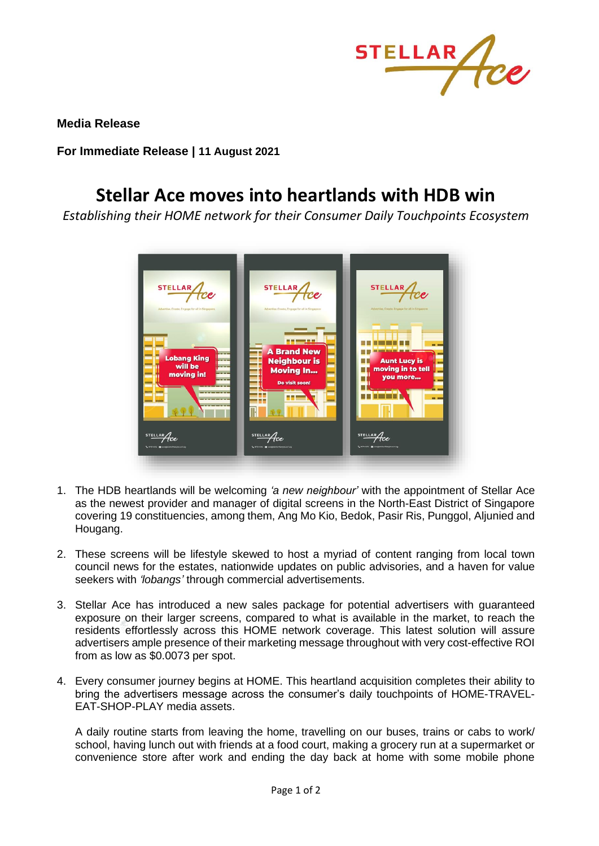

**Media Release**

## **For Immediate Release | 11 August 2021**

## **Stellar Ace moves into heartlands with HDB win**

*Establishing their HOME network for their Consumer Daily Touchpoints Ecosystem*



- 1. The HDB heartlands will be welcoming *'a new neighbour'* with the appointment of Stellar Ace as the newest provider and manager of digital screens in the North-East District of Singapore covering 19 constituencies, among them, Ang Mo Kio, Bedok, Pasir Ris, Punggol, Aljunied and Hougang.
- 2. These screens will be lifestyle skewed to host a myriad of content ranging from local town council news for the estates, nationwide updates on public advisories, and a haven for value seekers with *'lobangs'* through commercial advertisements.
- 3. Stellar Ace has introduced a new sales package for potential advertisers with guaranteed exposure on their larger screens, compared to what is available in the market, to reach the residents effortlessly across this HOME network coverage. This latest solution will assure advertisers ample presence of their marketing message throughout with very cost-effective ROI from as low as \$0.0073 per spot.
- 4. Every consumer journey begins at HOME. This heartland acquisition completes their ability to bring the advertisers message across the consumer's daily touchpoints of HOME-TRAVEL-EAT-SHOP-PLAY media assets.

A daily routine starts from leaving the home, travelling on our buses, trains or cabs to work/ school, having lunch out with friends at a food court, making a grocery run at a supermarket or convenience store after work and ending the day back at home with some mobile phone